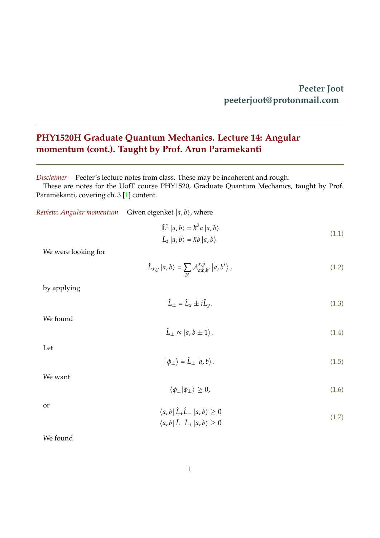## **Peeter Joot peeterjoot@protonmail.com**

## <span id="page-0-0"></span>**PHY1520H Graduate Quantum Mechanics. Lecture 14: Angular momentum (cont.). Taught by Prof. Arun Paramekanti**

*Disclaimer* Peeter's lecture notes from class. These may be incoherent and rough.

 $\mathbb{R}^2$ 

These are notes for the UofT course PHY1520, Graduate Quantum Mechanics, taught by Prof. Paramekanti, covering ch. 3 [\[1\]](#page-7-0) content.

*Review: Angular momentum* Given eigenket  $|a, b\rangle$ , where

$$
\hat{L}^2 |a, b\rangle = \hbar^2 a |a, b\rangle
$$
  

$$
\hat{L}_z |a, b\rangle = \hbar b |a, b\rangle
$$
 (1.1)

We were looking for

$$
\hat{L}_{x,y} |a,b\rangle = \sum_{b'} \mathcal{A}_{a;b,b'}^{x,y} |a,b'\rangle, \qquad (1.2)
$$

by applying

$$
\hat{L}_{\pm} = \hat{L}_x \pm i\hat{L}_y. \tag{1.3}
$$

We found

$$
\hat{L}_{\pm} \propto |a, b \pm 1\rangle. \tag{1.4}
$$

Let

$$
|\phi_{\pm}\rangle = \hat{L}_{\pm} |a, b\rangle. \tag{1.5}
$$

We want

$$
\langle \phi_{\pm} | \phi_{\pm} \rangle \ge 0, \tag{1.6}
$$

| or |                                                             |       |
|----|-------------------------------------------------------------|-------|
|    | $\langle a,b   \hat{L}_+ \hat{L}_-   a,b \rangle \geq 0$    | (1.7) |
|    | $\langle a,b   \hat{L}_{-}\hat{L}_{+}   a,b \rangle \geq 0$ |       |

We found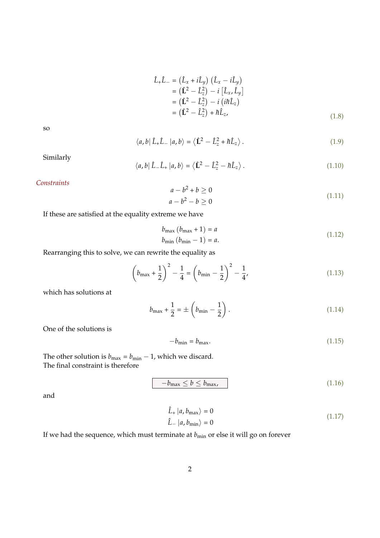$$
\hat{L}_{+}\hat{L}_{-} = (\hat{L}_{x} + i\hat{L}_{y}) (\hat{L}_{x} - i\hat{L}_{y}) \n= (\hat{L}^{2} - \hat{L}_{z}^{2}) - i [\hat{L}_{x}, \hat{L}_{y}] \n= (\hat{L}^{2} - \hat{L}_{z}^{2}) - i (i\hbar \hat{L}_{z}) \n= (\hat{L}^{2} - \hat{L}_{z}^{2}) + \hbar \hat{L}_{z},
$$
\n(1.8)

so

$$
\langle a, b | \hat{L}_{+} \hat{L}_{-} | a, b \rangle = \langle \hat{L}^{2} - \hat{L}_{z}^{2} + \hbar \hat{L}_{z} \rangle.
$$
 (1.9)

Similarly

$$
\langle a, b | \hat{L}_{-} \hat{L}_{+} | a, b \rangle = \langle \hat{L}^{2} - \hat{L}_{z}^{2} - \hbar \hat{L}_{z} \rangle.
$$
 (1.10)

*Constraints*

$$
a - b^2 + b \ge 0
$$
  
\n
$$
a - b^2 - b \ge 0
$$
\n(1.11)

If these are satisfied at the equality extreme we have

$$
b_{\max} (b_{\max} + 1) = a
$$
  
\n
$$
b_{\min} (b_{\min} - 1) = a.
$$
\n(1.12)

Rearranging this to solve, we can rewrite the equality as

$$
\left(b_{\max} + \frac{1}{2}\right)^2 - \frac{1}{4} = \left(b_{\min} - \frac{1}{2}\right)^2 - \frac{1}{4}.
$$
\n(1.13)

which has solutions at

$$
b_{\max} + \frac{1}{2} = \pm \left( b_{\min} - \frac{1}{2} \right). \tag{1.14}
$$

One of the solutions is

$$
-b_{\min} = b_{\max}.\tag{1.15}
$$

The other solution is  $b_{\text{max}} = b_{\text{min}} - 1$ , which we discard. The final constraint is therefore

$$
-b_{\max} \le b \le b_{\max},\tag{1.16}
$$

and

$$
\hat{L}_{+} |a, b_{\text{max}}\rangle = 0
$$
\n
$$
\hat{L}_{-} |a, b_{\text{min}}\rangle = 0
$$
\n(1.17)

If we had the sequence, which must terminate at  $b_{\rm min}$  or else it will go on forever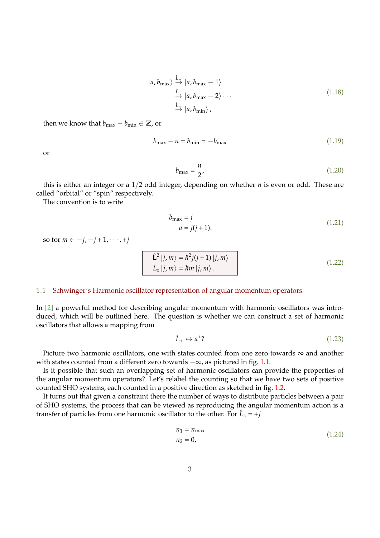$$
|a, b_{\max}\rangle \stackrel{\hat{L}}{\rightarrow} |a, b_{\max} - 1\rangle
$$
  

$$
\stackrel{\hat{L}}{\rightarrow} |a, b_{\max} - 2\rangle \cdots
$$
  

$$
\stackrel{\hat{L}}{\rightarrow} |a, b_{\min}\rangle,
$$
 (1.18)

then we know that  $b_{\text{max}} - b_{\text{min}} \in \mathbb{Z}$ , or

$$
b_{\text{max}} - n = b_{\text{min}} = -b_{\text{max}} \tag{1.19}
$$

or

$$
b_{\text{max}} = \frac{n}{2},\tag{1.20}
$$

this is either an integer or a 1/2 odd integer, depending on whether *n* is even or odd. These are called "orbital" or "spin" respectively.

The convention is to write

$$
b_{\text{max}} = j
$$
  
\n
$$
a = j(j+1).
$$
\n(1.21)

so for  $m \in -j, -j + 1, \dots, +j$ 

$$
\hat{L}^{2} |j, m\rangle = \hbar^{2} j(j+1) |j, m\rangle
$$
  
\n
$$
L_{z} |j, m\rangle = \hbar m |j, m\rangle.
$$
 (1.22)

## <span id="page-2-0"></span>1.1 Schwinger's Harmonic oscillator representation of angular momentum operators.

In [\[2\]](#page-7-1) a powerful method for describing angular momentum with harmonic oscillators was introduced, which will be outlined here. The question is whether we can construct a set of harmonic oscillators that allows a mapping from

$$
\hat{L}_+ \leftrightarrow a^+?
$$
\n<sup>(1.23)</sup>

Picture two harmonic oscillators, one with states counted from one zero towards  $\infty$  and another with states counted from a different zero towards  $-\infty$ , as pictured in fig. [1.1.](#page-3-0)

Is it possible that such an overlapping set of harmonic oscillators can provide the properties of the angular momentum operators? Let's relabel the counting so that we have two sets of positive counted SHO systems, each counted in a positive direction as sketched in fig. [1.2.](#page-3-1)

It turns out that given a constraint there the number of ways to distribute particles between a pair of SHO systems, the process that can be viewed as reproducing the angular momentum action is a transfer of particles from one harmonic oscillator to the other. For  $\hat{L}_z = +j$ 

$$
n_1 = n_{\text{max}}
$$
  
\n
$$
n_2 = 0,
$$
\n(1.24)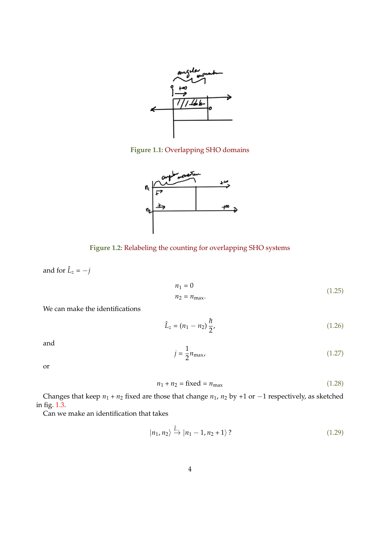<span id="page-3-0"></span>

<span id="page-3-1"></span>**Figure 1.1:** Overlapping SHO domains



**Figure 1.2:** Relabeling the counting for overlapping SHO systems

and for  $\hat{L}_z = -j$ 

$$
n_1 = 0
$$
  
\n
$$
n_2 = n_{\text{max}}.
$$
\n(1.25)

We can make the identifications

$$
\hat{L}_z = (n_1 - n_2) \frac{\hbar}{2},\tag{1.26}
$$

and

$$
j = \frac{1}{2}n_{\text{max}},\tag{1.27}
$$

or

$$
n_1 + n_2 = \text{fixed} = n_{\text{max}} \tag{1.28}
$$

Changes that keep  $n_1 + n_2$  fixed are those that change  $n_1$ ,  $n_2$  by +1 or  $-1$  respectively, as sketched in fig. [1.3.](#page-4-0)

Can we make an identification that takes

$$
|n_1, n_2\rangle \xrightarrow{\hat{L}} |n_1 - 1, n_2 + 1\rangle \tag{1.29}
$$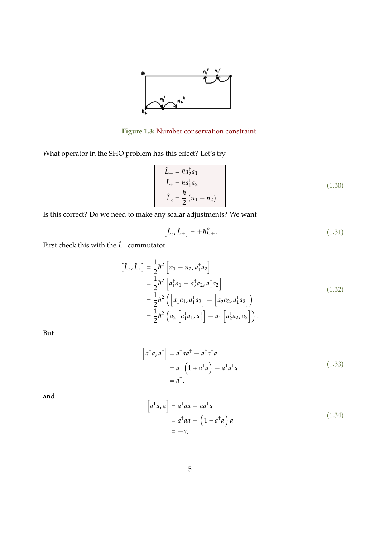

**Figure 1.3:** Number conservation constraint.

<span id="page-4-0"></span>What operator in the SHO problem has this effect? Let's try

$$
\hat{L}_{-} = \hbar a_{2}^{\dagger} a_{1}
$$
\n
$$
\hat{L}_{+} = \hbar a_{1}^{\dagger} a_{2}
$$
\n
$$
\hat{L}_{z} = \frac{\hbar}{2} (n_{1} - n_{2})
$$
\n(1.30)

Is this correct? Do we need to make any scalar adjustments? We want

$$
\left[\hat{L}_z, \hat{L}_\pm\right] = \pm \hbar \hat{L}_\pm. \tag{1.31}
$$

First check this with the  $\hat{L}_+$  commutator

$$
\begin{aligned}\n\left[\hat{L}_z, \hat{L}_+\right] &= \frac{1}{2}\hbar^2 \left[n_1 - n_2, a_1^\dagger a_2\right] \\
&= \frac{1}{2}\hbar^2 \left[a_1^\dagger a_1 - a_2^\dagger a_2, a_1^\dagger a_2\right] \\
&= \frac{1}{2}\hbar^2 \left(\left[a_1^\dagger a_1, a_1^\dagger a_2\right] - \left[a_2^\dagger a_2, a_1^\dagger a_2\right]\right) \\
&= \frac{1}{2}\hbar^2 \left(a_2 \left[a_1^\dagger a_1, a_1^\dagger\right] - a_1^\dagger \left[a_2^\dagger a_2, a_2\right]\right).\n\end{aligned} \tag{1.32}
$$

But

$$
\begin{aligned}\n\left[a^{\dagger}a, a^{\dagger}\right] &= a^{\dagger}aa^{\dagger} - a^{\dagger}a^{\dagger}a \\
&= a^{\dagger}\left(1 + a^{\dagger}a\right) - a^{\dagger}a^{\dagger}a \\
&= a^{\dagger},\n\end{aligned} \tag{1.33}
$$

and

$$
\begin{aligned}\n\left[a^{\dagger}a, a\right] &= a^{\dagger}aa - aa^{\dagger}a \\
&= a^{\dagger}aa - \left(1 + a^{\dagger}a\right)a \\
&= -a,\n\end{aligned} \tag{1.34}
$$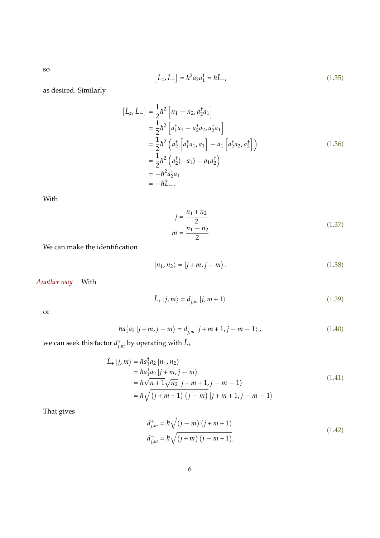so

$$
[\hat{L}_z, \hat{L}_+] = \hbar^2 a_2 a_1^\dagger = \hbar \hat{L}_+, \tag{1.35}
$$

as desired. Similarly

$$
\begin{aligned}\n\left[\hat{L}_z, \hat{L}_-\right] &= \frac{1}{2}\hbar^2 \left[n_1 - n_2, a_2^{\dagger} a_1\right] \\
&= \frac{1}{2}\hbar^2 \left[a_1^{\dagger} a_1 - a_2^{\dagger} a_2, a_2^{\dagger} a_1\right] \\
&= \frac{1}{2}\hbar^2 \left(a_2^{\dagger} \left[a_1^{\dagger} a_1, a_1\right] - a_1 \left[a_2^{\dagger} a_2, a_2^{\dagger}\right]\right) \\
&= \frac{1}{2}\hbar^2 \left(a_2^{\dagger}(-a_1) - a_1 a_2^{\dagger}\right) \\
&= -\hbar^2 a_2^{\dagger} a_1 \\
&= -\hbar \hat{L}_-\n\end{aligned} \tag{1.36}
$$

With

$$
j = \frac{n_1 + n_2}{2}
$$
  

$$
m = \frac{n_1 - n_2}{2}
$$
 (1.37)

We can make the identification

$$
|n_1, n_2\rangle = |j + m, j - m\rangle. \tag{1.38}
$$

*Another way* With

$$
\hat{L}_{+}|j,m\rangle = d_{j,m}^{+}|j,m+1\rangle \tag{1.39}
$$

or

$$
\hbar a_1^{\dagger} a_2 |j + m, j - m\rangle = d_{j,m}^{\dagger} |j + m + 1, j - m - 1\rangle, \qquad (1.40)
$$

we can seek this factor  $d_{j,m}^+$  by operating with  $\hat{L}_+$ 

$$
\hat{L}_{+}|j,m\rangle = \hbar a_{1}^{\dagger} a_{2} |n_{1},n_{2}\rangle \n= \hbar a_{1}^{\dagger} a_{2} |j+m, j-m\rangle \n= \hbar \sqrt{n+1} \sqrt{n_{2}} |j+m+1, j-m-1\rangle \n= \hbar \sqrt{(j+m+1) (j-m)} |j+m+1, j-m-1\rangle
$$
\n(1.41)

That gives

$$
d_{j,m}^{+} = \hbar \sqrt{(j-m)(j+m+1)}
$$
  
\n
$$
d_{j,m}^{-} = \hbar \sqrt{(j+m)(j-m+1)}.
$$
\n(1.42)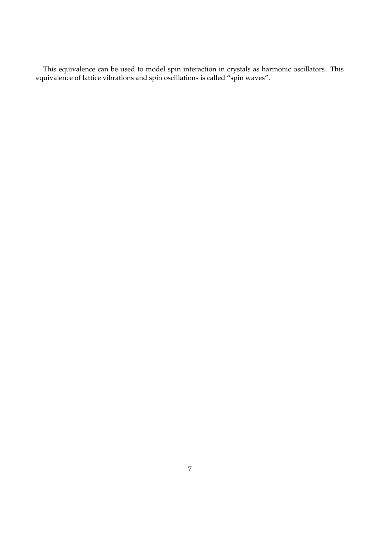This equivalence can be used to model spin interaction in crystals as harmonic oscillators. This equivalence of lattice vibrations and spin oscillations is called "spin waves".